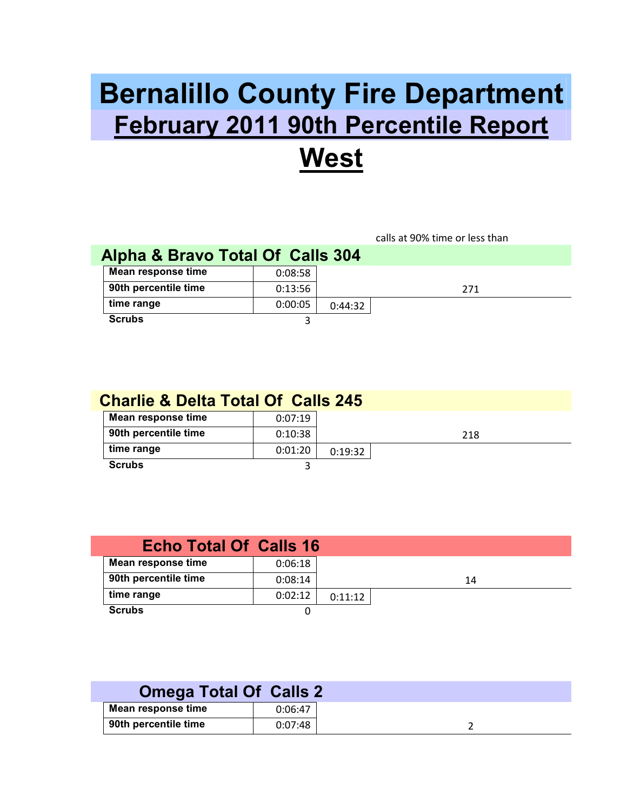## **Bernalillo County Fire Department February 2011 90th Percentile Report West**

## calls at 90% time or less than **Alpha & Bravo Total Of Calls 304 Mean response time** 0:08:58 **90th percentile time**   $0:13:56$  271 **time range** 0:00:05 0:44:32 **Scrubs** 3

| <b>Charlie &amp; Delta Total Of Calls 245</b> |         |         |     |  |
|-----------------------------------------------|---------|---------|-----|--|
| Mean response time                            | 0:07:19 |         |     |  |
| 90th percentile time                          | 0:10:38 |         | 218 |  |
| time range                                    | 0:01:20 | 0:19:32 |     |  |
| <b>Scrubs</b>                                 |         |         |     |  |

| <b>Echo Total Of Calls 16</b> |         |         |    |
|-------------------------------|---------|---------|----|
| Mean response time            | 0:06:18 |         |    |
| 90th percentile time          | 0:08:14 |         | 14 |
| time range                    | 0:02:12 | 0:11:12 |    |
| <b>Scrubs</b>                 |         |         |    |

|                      | <b>Omega Total Of Calls 2</b> |         |
|----------------------|-------------------------------|---------|
| Mean response time   |                               | 0:06:47 |
| 90th percentile time |                               | 0:07:48 |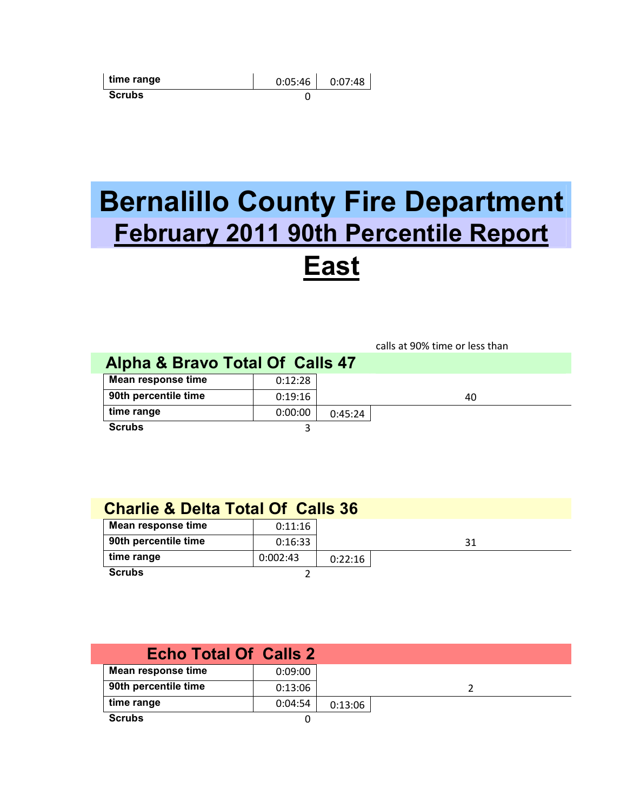| time range    | 0:05:46 | 0:07:48 |
|---------------|---------|---------|
| <b>Scrubs</b> |         |         |

## **Bernalillo County Fire Department February 2011 90th Percentile Report East**

|                                 |         |         | calls at 90% time or less than |
|---------------------------------|---------|---------|--------------------------------|
| Alpha & Bravo Total Of Calls 47 |         |         |                                |
| Mean response time              | 0:12:28 |         |                                |
| 90th percentile time            | 0:19:16 |         | 40                             |
| time range                      | 0:00:00 | 0:45:24 |                                |
| <b>Scrubs</b>                   |         |         |                                |

## **Charlie & Delta Total Of Calls 36**

| Mean response time   | 0:11:16  |         |    |
|----------------------|----------|---------|----|
| 90th percentile time | 0:16:33  |         | 31 |
| time range           | 0:002:43 | 0:22:16 |    |
| <b>Scrubs</b>        |          |         |    |

| <b>Echo Total Of Calls 2</b> |         |         |  |
|------------------------------|---------|---------|--|
| Mean response time           | 0:09:00 |         |  |
| 90th percentile time         | 0:13:06 |         |  |
| time range                   | 0:04:54 | 0:13:06 |  |
| <b>Scrubs</b>                |         |         |  |